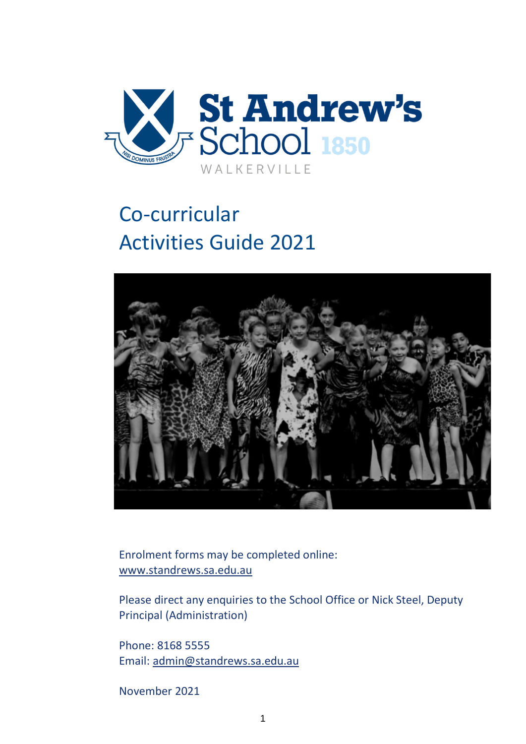

# Co-curricular Activities Guide 2021



Enrolment forms may be completed online: [www.standrews.sa.edu.au](http://www.standrews.sa.edu.au/)

Please direct any enquiries to the School Office or Nick Steel, Deputy Principal (Administration)

Phone: 8168 5555 Email: [admin@standrews.sa.edu.au](mailto:admin@standrews.sa.edu.au)

November 2021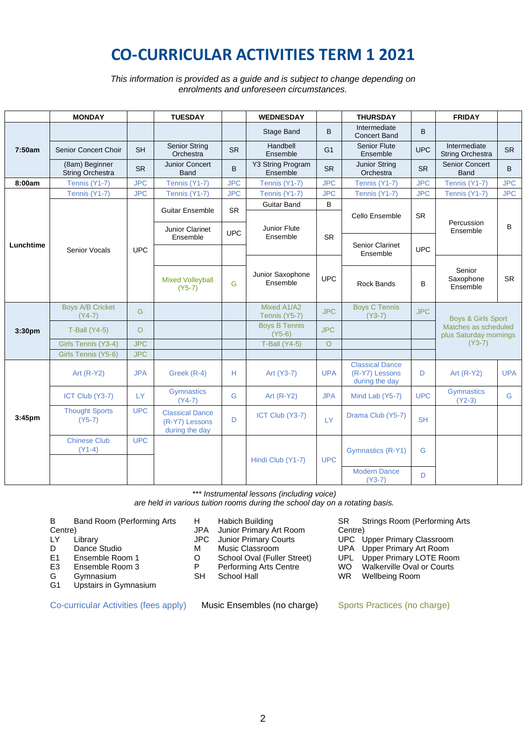# **CO-CURRICULAR ACTIVITIES TERM 1 2021**

*This information is provided as a guide and is subject to change depending on enrolments and unforeseen circumstances.*

|                    | <b>MONDAY</b>                             |            | <b>TUESDAY</b>                                             |            | <b>WEDNESDAY</b>                      |                | <b>THURSDAY</b>                                            |                        | <b>FRIDAY</b>                                  |            |
|--------------------|-------------------------------------------|------------|------------------------------------------------------------|------------|---------------------------------------|----------------|------------------------------------------------------------|------------------------|------------------------------------------------|------------|
|                    |                                           |            |                                                            |            | Stage Band                            | B              | Intermediate<br><b>Concert Band</b>                        | B                      |                                                |            |
| 7:50am             | Senior Concert Choir                      | <b>SH</b>  | <b>Senior String</b><br>Orchestra                          | <b>SR</b>  | Handbell<br>Ensemble                  | G <sub>1</sub> | <b>Senior Flute</b><br>Ensemble                            | <b>UPC</b>             | Intermediate<br>String Orchestra               | <b>SR</b>  |
|                    | (8am) Beginner<br><b>String Orchestra</b> | <b>SR</b>  | <b>Junior Concert</b><br><b>Band</b>                       | B          | Y3 String Program<br>Ensemble         | <b>SR</b>      | Junior String<br>Orchestra                                 | <b>SR</b>              | Senior Concert<br>Band                         | B          |
| 8:00am             | Tennis (Y1-7)                             | <b>JPC</b> | Tennis (Y1-7)                                              | <b>JPC</b> | Tennis (Y1-7)                         | <b>JPC</b>     | Tennis (Y1-7)                                              | <b>JPC</b>             | Tennis (Y1-7)                                  | <b>JPC</b> |
|                    | Tennis (Y1-7)                             | <b>JPC</b> | Tennis (Y1-7)                                              | <b>JPC</b> | Tennis (Y1-7)                         | <b>JPC</b>     | Tennis (Y1-7)                                              | <b>JPC</b>             | Tennis (Y1-7)                                  | <b>JPC</b> |
|                    |                                           |            |                                                            |            | <b>Guitar Band</b>                    | B              |                                                            |                        |                                                |            |
|                    |                                           |            | <b>Guitar Ensemble</b>                                     | <b>SR</b>  |                                       |                | Cello Ensemble                                             | <b>SR</b>              |                                                |            |
|                    |                                           |            | Junior Clarinet<br>Ensemble                                | <b>UPC</b> | Junior Flute<br>Ensemble<br><b>SR</b> |                |                                                            | Percussion<br>Ensemble | B                                              |            |
| Lunchtime          | <b>Senior Vocals</b>                      | <b>UPC</b> |                                                            |            |                                       |                | <b>Senior Clarinet</b>                                     | <b>UPC</b>             |                                                |            |
|                    |                                           |            |                                                            |            |                                       |                | Ensemble                                                   |                        |                                                |            |
|                    |                                           |            | <b>Mixed Volleyball</b><br>$(Y5-7)$                        | G          | Junior Saxophone<br>Ensemble          | <b>UPC</b>     | <b>Rock Bands</b>                                          | B                      | Senior<br>Saxophone<br>Ensemble                | <b>SR</b>  |
|                    | <b>Boys A/B Cricket</b><br>$(Y4-7)$       | G          |                                                            |            | Mixed A1/A2<br>Tennis (Y5-7)          | <b>JPC</b>     | <b>Boys C Tennis</b><br>$(Y3-7)$                           | <b>JPC</b>             | <b>Boys &amp; Girls Sport</b>                  |            |
| 3:30 <sub>pm</sub> | <b>T-Ball (Y4-5)</b>                      | $\circ$    |                                                            |            | <b>Boys B Tennis</b><br>$(Y5-6)$      | <b>JPC</b>     |                                                            |                        | Matches as scheduled<br>plus Saturday mornings |            |
|                    | Girls Tennis (Y3-4)                       | <b>JPC</b> |                                                            |            | <b>T-Ball (Y4-5)</b>                  | $\Omega$       |                                                            |                        | $(Y3-7)$                                       |            |
|                    | Girls Tennis (Y5-6)                       | <b>JPC</b> |                                                            |            |                                       |                |                                                            |                        |                                                |            |
|                    | Art $(R-Y2)$                              | <b>JPA</b> | Greek (R-4)                                                | H          | Art (Y3-7)                            | <b>UPA</b>     | <b>Classical Dance</b><br>(R-Y7) Lessons<br>during the day | D                      | Art $(R-Y2)$                                   | <b>UPA</b> |
|                    | ICT Club (Y3-7)                           | <b>LY</b>  | <b>Gymnastics</b><br>$(Y4-7)$                              | G          | Art $(R-Y2)$                          | <b>JPA</b>     | Mind Lab (Y5-7)                                            | <b>UPC</b>             | Gymnastics<br>$(Y2-3)$                         | G          |
| 3:45 <sub>pm</sub> | <b>Thought Sports</b><br>$(Y5-7)$         | <b>UPC</b> | <b>Classical Dance</b><br>(R-Y7) Lessons<br>during the day | D          | ICT Club (Y3-7)                       | <b>LY</b>      | Drama Club (Y5-7)                                          | <b>SH</b>              |                                                |            |
|                    | <b>Chinese Club</b><br>$(Y1-4)$           | <b>UPC</b> |                                                            |            | Hindi Club (Y1-7)                     | <b>UPC</b>     | Gymnastics (R-Y1)                                          | G                      |                                                |            |
|                    |                                           |            |                                                            |            |                                       |                | <b>Modern Dance</b><br>$(Y3-7)$                            | D                      |                                                |            |

*\*\*\* Instrumental lessons (including voice)* 

*are held in various tuition rooms during the school day on a rotating basis.*

B Band Room (Performing Arts

- Centre)<br>LY
- LY Library<br>D Dance
- Dance Studio
- E1 Ensemble Room 1<br>E3 Ensemble Room 3
- E3 Ensemble Room 3<br>G Gymnasium
- G Gymnasium<br>G1 Upstairs in G
- Upstairs in Gymnasium

- H Habich Building
- JPA Junior Primary Art Room<br>JPC Junior Primary Courts
	- Junior Primary Courts
- M Music Classroom
- 
- O School Oval (Fuller Street)<br>P Performing Arts Centre P Performing Arts Centre<br>SH School Hall
- School Hall

Co-curricular Activities (fees apply) Music Ensembles (no charge) Sports Practices (no charge)

SR Strings Room (Performing Arts Centre)

- UPC Upper Primary Classroom<br>UPA Upper Primary Art Room Upper Primary Art Room
- 
- UPL Upper Primary LOTE Room<br>WO Walkerville Oval or Courts
- WO Walkerville Oval or Courts<br>WR Wellbeing Room Wellbeing Room
-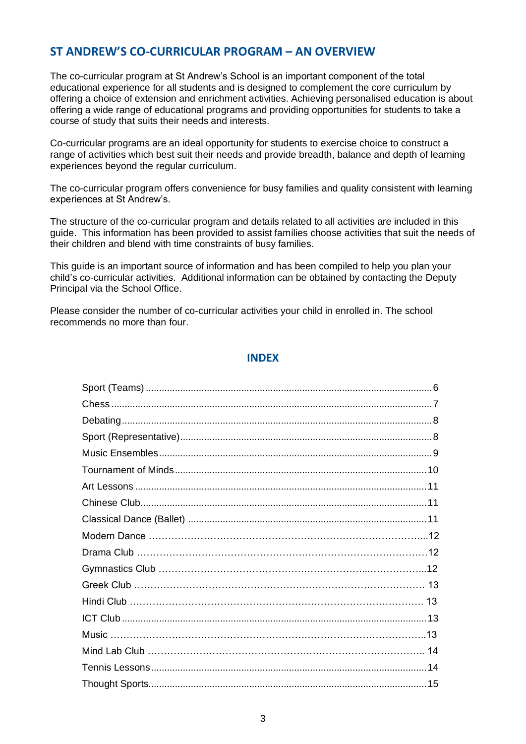# **ST ANDREW'S CO-CURRICULAR PROGRAM – AN OVERVIEW**

The co-curricular program at St Andrew's School is an important component of the total educational experience for all students and is designed to complement the core curriculum by offering a choice of extension and enrichment activities. Achieving personalised education is about offering a wide range of educational programs and providing opportunities for students to take a course of study that suits their needs and interests.

Co-curricular programs are an ideal opportunity for students to exercise choice to construct a range of activities which best suit their needs and provide breadth, balance and depth of learning experiences beyond the regular curriculum.

The co-curricular program offers convenience for busy families and quality consistent with learning experiences at St Andrew's.

The structure of the co-curricular program and details related to all activities are included in this guide. This information has been provided to assist families choose activities that suit the needs of their children and blend with time constraints of busy families.

This guide is an important source of information and has been compiled to help you plan your child's co-curricular activities. Additional information can be obtained by contacting the Deputy Principal via the School Office.

Please consider the number of co-curricular activities your child in enrolled in. The school recommends no more than four.

## **INDEX**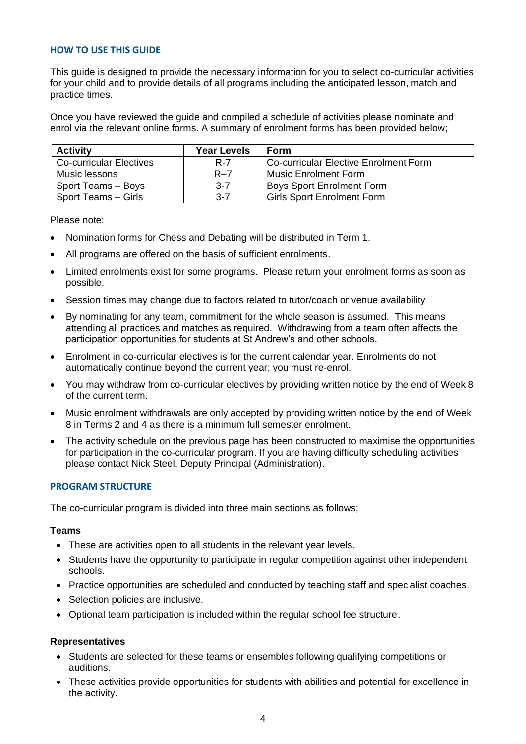#### **HOW TO USE THIS GUIDE**

This guide is designed to provide the necessary information for you to select co-curricular activities for your child and to provide details of all programs including the anticipated lesson, match and practice times.

Once you have reviewed the guide and compiled a schedule of activities please nominate and enrol via the relevant online forms. A summary of enrolment forms has been provided below;

| <b>Activity</b>                | <b>Year Levels</b> | <b>Form</b>                           |
|--------------------------------|--------------------|---------------------------------------|
| <b>Co-curricular Electives</b> | R-7                | Co-curricular Elective Enrolment Form |
| Music lessons                  | $R - 7$            | Music Enrolment Form                  |
| Sport Teams - Boys             | $3 - 7$            | <b>Boys Sport Enrolment Form</b>      |
| Sport Teams - Girls            | $3 - 7$            | <b>Girls Sport Enrolment Form</b>     |

Please note:

- Nomination forms for Chess and Debating will be distributed in Term 1.
- All programs are offered on the basis of sufficient enrolments.
- Limited enrolments exist for some programs. Please return your enrolment forms as soon as possible.
- Session times may change due to factors related to tutor/coach or venue availability
- By nominating for any team, commitment for the whole season is assumed. This means attending all practices and matches as required. Withdrawing from a team often affects the participation opportunities for students at St Andrew's and other schools.
- Enrolment in co-curricular electives is for the current calendar year. Enrolments do not automatically continue beyond the current year; you must re-enrol.
- You may withdraw from co-curricular electives by providing written notice by the end of Week 8 of the current term.
- Music enrolment withdrawals are only accepted by providing written notice by the end of Week 8 in Terms 2 and 4 as there is a minimum full semester enrolment.
- The activity schedule on the previous page has been constructed to maximise the opportunities for participation in the co-curricular program. If you are having difficulty scheduling activities please contact Nick Steel, Deputy Principal (Administration).

#### **PROGRAM STRUCTURE**

The co-curricular program is divided into three main sections as follows;

#### **Teams**

- These are activities open to all students in the relevant year levels.
- Students have the opportunity to participate in regular competition against other independent schools.
- Practice opportunities are scheduled and conducted by teaching staff and specialist coaches.
- Selection policies are inclusive.
- Optional team participation is included within the regular school fee structure.

#### **Representatives**

- Students are selected for these teams or ensembles following qualifying competitions or auditions.
- These activities provide opportunities for students with abilities and potential for excellence in the activity.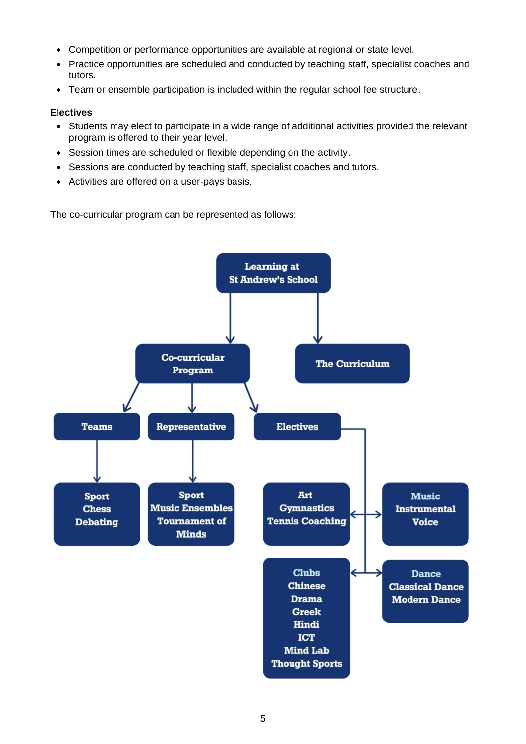- Competition or performance opportunities are available at regional or state level.
- Practice opportunities are scheduled and conducted by teaching staff, specialist coaches and tutors.
- Team or ensemble participation is included within the regular school fee structure.

# **Electives**

- Students may elect to participate in a wide range of additional activities provided the relevant program is offered to their year level.
- Session times are scheduled or flexible depending on the activity.
- Sessions are conducted by teaching staff, specialist coaches and tutors.
- Activities are offered on a user-pays basis.

The co-curricular program can be represented as follows:

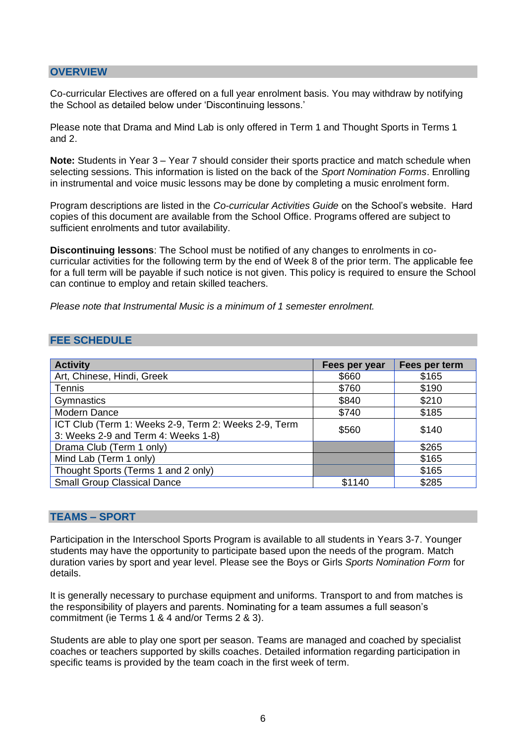#### **OVERVIEW**

Co-curricular Electives are offered on a full year enrolment basis. You may withdraw by notifying the School as detailed below under 'Discontinuing lessons.'

Please note that Drama and Mind Lab is only offered in Term 1 and Thought Sports in Terms 1 and 2.

**Note:** Students in Year 3 – Year 7 should consider their sports practice and match schedule when selecting sessions. This information is listed on the back of the *Sport Nomination Forms*. Enrolling in instrumental and voice music lessons may be done by completing a music enrolment form.

Program descriptions are listed in the *Co-curricular Activities Guide* on the School's website. Hard copies of this document are available from the School Office. Programs offered are subject to sufficient enrolments and tutor availability.

**Discontinuing lessons**: The School must be notified of any changes to enrolments in cocurricular activities for the following term by the end of Week 8 of the prior term. The applicable fee for a full term will be payable if such notice is not given. This policy is required to ensure the School can continue to employ and retain skilled teachers.

*Please note that Instrumental Music is a minimum of 1 semester enrolment.*

#### **FEE SCHEDULE**

| <b>Activity</b>                                                                             | Fees per year | Fees per term |
|---------------------------------------------------------------------------------------------|---------------|---------------|
| Art, Chinese, Hindi, Greek                                                                  | \$660         | \$165         |
| <b>Tennis</b>                                                                               | \$760         | \$190         |
| Gymnastics                                                                                  | \$840         | \$210         |
| <b>Modern Dance</b>                                                                         | \$740         | \$185         |
| ICT Club (Term 1: Weeks 2-9, Term 2: Weeks 2-9, Term<br>3: Weeks 2-9 and Term 4: Weeks 1-8) | \$560         | \$140         |
| Drama Club (Term 1 only)                                                                    |               | \$265         |
| Mind Lab (Term 1 only)                                                                      |               | \$165         |
| Thought Sports (Terms 1 and 2 only)                                                         |               | \$165         |
| <b>Small Group Classical Dance</b>                                                          | \$1140        | \$285         |

#### **TEAMS – SPORT**

Participation in the Interschool Sports Program is available to all students in Years 3-7. Younger students may have the opportunity to participate based upon the needs of the program. Match duration varies by sport and year level. Please see the Boys or Girls *Sports Nomination Form* for details.

It is generally necessary to purchase equipment and uniforms. Transport to and from matches is the responsibility of players and parents. Nominating for a team assumes a full season's commitment (ie Terms 1 & 4 and/or Terms 2 & 3).

Students are able to play one sport per season. Teams are managed and coached by specialist coaches or teachers supported by skills coaches. Detailed information regarding participation in specific teams is provided by the team coach in the first week of term.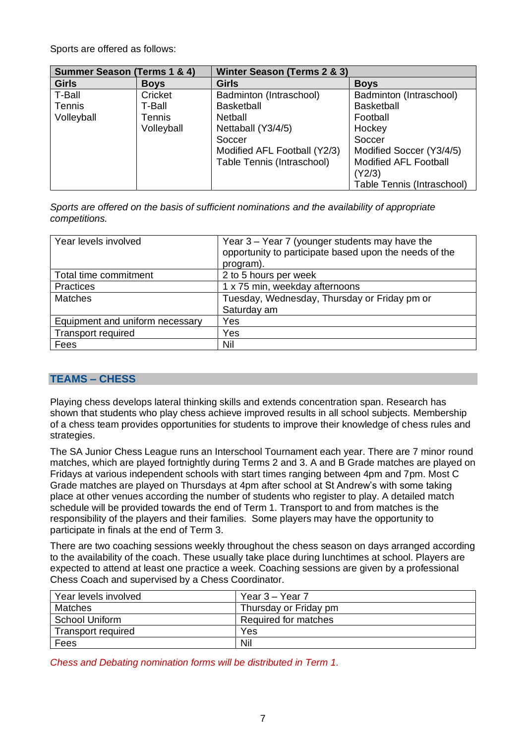Sports are offered as follows:

| <b>Summer Season (Terms 1 &amp; 4)</b> |             | Winter Season (Terms 2 & 3)  |                              |  |
|----------------------------------------|-------------|------------------------------|------------------------------|--|
| <b>Girls</b>                           | <b>Boys</b> | <b>Girls</b>                 | <b>Boys</b>                  |  |
| T-Ball                                 | Cricket     | Badminton (Intraschool)      | Badminton (Intraschool)      |  |
| Tennis                                 | T-Ball      | <b>Basketball</b>            | <b>Basketball</b>            |  |
| Volleyball                             | Tennis      | Netball                      | Football                     |  |
|                                        | Volleyball  | Nettaball (Y3/4/5)           | Hockey                       |  |
|                                        |             | Soccer                       | Soccer                       |  |
|                                        |             | Modified AFL Football (Y2/3) | Modified Soccer (Y3/4/5)     |  |
|                                        |             | Table Tennis (Intraschool)   | <b>Modified AFL Football</b> |  |
|                                        |             |                              | (Y2/3)                       |  |
|                                        |             |                              | Table Tennis (Intraschool)   |  |

*Sports are offered on the basis of sufficient nominations and the availability of appropriate competitions.*

| Year levels involved            | Year 3 - Year 7 (younger students may have the<br>opportunity to participate based upon the needs of the<br>program). |
|---------------------------------|-----------------------------------------------------------------------------------------------------------------------|
| Total time commitment           | 2 to 5 hours per week                                                                                                 |
| <b>Practices</b>                | 1 x 75 min, weekday afternoons                                                                                        |
| <b>Matches</b>                  | Tuesday, Wednesday, Thursday or Friday pm or                                                                          |
|                                 | Saturday am                                                                                                           |
| Equipment and uniform necessary | Yes                                                                                                                   |
| <b>Transport required</b>       | Yes                                                                                                                   |
| Fees                            | Nil                                                                                                                   |

# **TEAMS – CHESS**

Playing chess develops lateral thinking skills and extends concentration span. Research has shown that students who play chess achieve improved results in all school subjects. Membership of a chess team provides opportunities for students to improve their knowledge of chess rules and strategies.

The SA Junior Chess League runs an Interschool Tournament each year. There are 7 minor round matches, which are played fortnightly during Terms 2 and 3. A and B Grade matches are played on Fridays at various independent schools with start times ranging between 4pm and 7pm. Most C Grade matches are played on Thursdays at 4pm after school at St Andrew's with some taking place at other venues according the number of students who register to play. A detailed match schedule will be provided towards the end of Term 1. Transport to and from matches is the responsibility of the players and their families. Some players may have the opportunity to participate in finals at the end of Term 3.

There are two coaching sessions weekly throughout the chess season on days arranged according to the availability of the coach. These usually take place during lunchtimes at school. Players are expected to attend at least one practice a week. Coaching sessions are given by a professional Chess Coach and supervised by a Chess Coordinator.

| Year levels involved  | Year 3 – Year 7       |
|-----------------------|-----------------------|
| Matches               | Thursday or Friday pm |
| <b>School Uniform</b> | Required for matches  |
| Transport required    | Yes                   |
| Fees                  | Nil                   |

*Chess and Debating nomination forms will be distributed in Term 1.*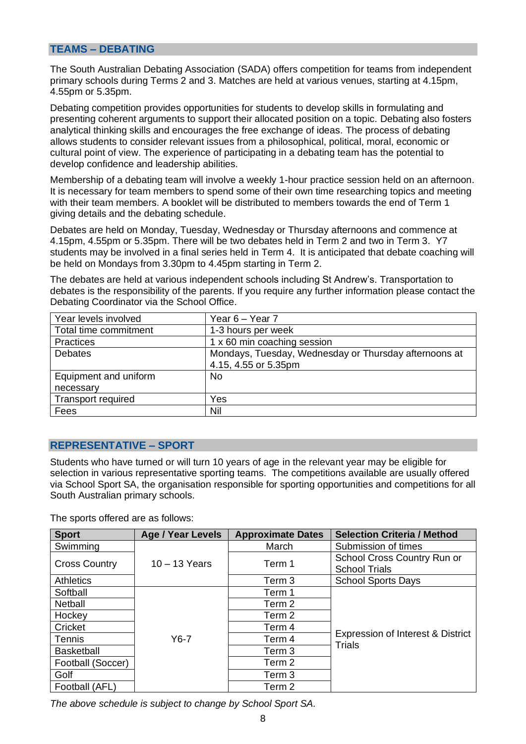#### **TEAMS – DEBATING**

The South Australian Debating Association (SADA) offers competition for teams from independent primary schools during Terms 2 and 3. Matches are held at various venues, starting at 4.15pm, 4.55pm or 5.35pm.

Debating competition provides opportunities for students to develop skills in formulating and presenting coherent arguments to support their allocated position on a topic. Debating also fosters analytical thinking skills and encourages the free exchange of ideas. The process of debating allows students to consider relevant issues from a philosophical, political, moral, economic or cultural point of view. The experience of participating in a debating team has the potential to develop confidence and leadership abilities.

Membership of a debating team will involve a weekly 1-hour practice session held on an afternoon. It is necessary for team members to spend some of their own time researching topics and meeting with their team members. A booklet will be distributed to members towards the end of Term 1 giving details and the debating schedule.

Debates are held on Monday, Tuesday, Wednesday or Thursday afternoons and commence at 4.15pm, 4.55pm or 5.35pm. There will be two debates held in Term 2 and two in Term 3. Y7 students may be involved in a final series held in Term 4. It is anticipated that debate coaching will be held on Mondays from 3.30pm to 4.45pm starting in Term 2.

The debates are held at various independent schools including St Andrew's. Transportation to debates is the responsibility of the parents. If you require any further information please contact the Debating Coordinator via the School Office.

| Year levels involved      | Year 6 – Year 7                                       |
|---------------------------|-------------------------------------------------------|
| Total time commitment     | 1-3 hours per week                                    |
| <b>Practices</b>          | 1 x 60 min coaching session                           |
| <b>Debates</b>            | Mondays, Tuesday, Wednesday or Thursday afternoons at |
|                           | 4.15, 4.55 or 5.35pm                                  |
| Equipment and uniform     | <b>No</b>                                             |
| necessary                 |                                                       |
| <b>Transport required</b> | Yes                                                   |
| Fees                      | Nil                                                   |

# **REPRESENTATIVE – SPORT**

Students who have turned or will turn 10 years of age in the relevant year may be eligible for selection in various representative sporting teams. The competitions available are usually offered via School Sport SA, the organisation responsible for sporting opportunities and competitions for all South Australian primary schools.

The sports offered are as follows:

| <b>Sport</b>         | <b>Age / Year Levels</b> | <b>Approximate Dates</b> | <b>Selection Criteria / Method</b> |
|----------------------|--------------------------|--------------------------|------------------------------------|
| Swimming             |                          | March                    | Submission of times                |
|                      | $10 - 13$ Years          | Term 1                   | School Cross Country Run or        |
| <b>Cross Country</b> |                          |                          | <b>School Trials</b>               |
| <b>Athletics</b>     |                          | Term 3                   | <b>School Sports Days</b>          |
| Softball             |                          | Term 1                   |                                    |
| Netball              |                          | Term <sub>2</sub>        |                                    |
| Hockey               |                          | Term <sub>2</sub>        |                                    |
| Cricket              |                          | Term 4                   |                                    |
| Tennis               | $Y6-7$                   | Term 4                   | Expression of Interest & District  |
| <b>Basketball</b>    |                          | Term 3                   | <b>Trials</b>                      |
| Football (Soccer)    |                          | Term <sub>2</sub>        |                                    |
| Golf                 |                          | Term 3                   |                                    |
| Football (AFL)       |                          | Term <sub>2</sub>        |                                    |

*The above schedule is subject to change by School Sport SA.*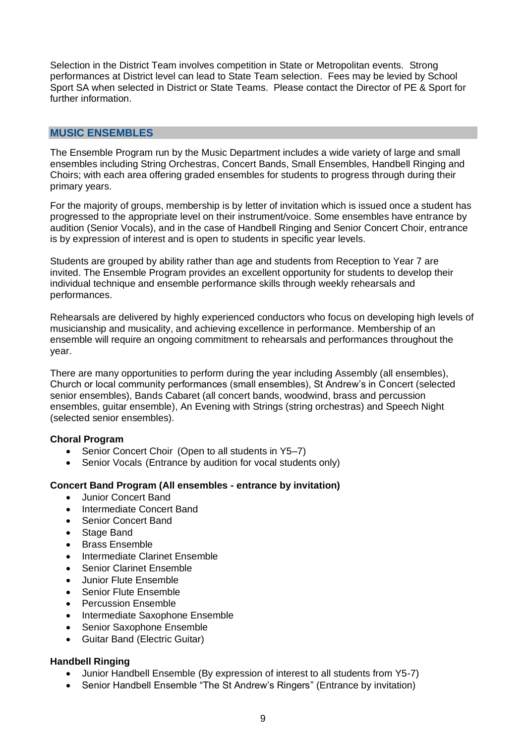Selection in the District Team involves competition in State or Metropolitan events. Strong performances at District level can lead to State Team selection. Fees may be levied by School Sport SA when selected in District or State Teams. Please contact the Director of PE & Sport for further information.

#### **MUSIC ENSEMBLES**

The Ensemble Program run by the Music Department includes a wide variety of large and small ensembles including String Orchestras, Concert Bands, Small Ensembles, Handbell Ringing and Choirs; with each area offering graded ensembles for students to progress through during their primary years.

For the majority of groups, membership is by letter of invitation which is issued once a student has progressed to the appropriate level on their instrument/voice. Some ensembles have entrance by audition (Senior Vocals), and in the case of Handbell Ringing and Senior Concert Choir, entrance is by expression of interest and is open to students in specific year levels.

Students are grouped by ability rather than age and students from Reception to Year 7 are invited. The Ensemble Program provides an excellent opportunity for students to develop their individual technique and ensemble performance skills through weekly rehearsals and performances.

Rehearsals are delivered by highly experienced conductors who focus on developing high levels of musicianship and musicality, and achieving excellence in performance. Membership of an ensemble will require an ongoing commitment to rehearsals and performances throughout the year.

There are many opportunities to perform during the year including Assembly (all ensembles), Church or local community performances (small ensembles), St Andrew's in Concert (selected senior ensembles), Bands Cabaret (all concert bands, woodwind, brass and percussion ensembles, guitar ensemble), An Evening with Strings (string orchestras) and Speech Night (selected senior ensembles).

#### **Choral Program**

- Senior Concert Choir (Open to all students in Y5-7)
- Senior Vocals (Entrance by audition for vocal students only)

# **Concert Band Program (All ensembles - entrance by invitation)**

- Junior Concert Band
- Intermediate Concert Band
- Senior Concert Band
- Stage Band
- Brass Ensemble
- Intermediate Clarinet Ensemble
- Senior Clarinet Ensemble
- Junior Flute Ensemble
- Senior Flute Ensemble
- Percussion Ensemble
- Intermediate Saxophone Ensemble
- Senior Saxophone Ensemble
- Guitar Band (Electric Guitar)

# **Handbell Ringing**

- Junior Handbell Ensemble (By expression of interest to all students from Y5-7)
- Senior Handbell Ensemble "The St Andrew's Ringers" (Entrance by invitation)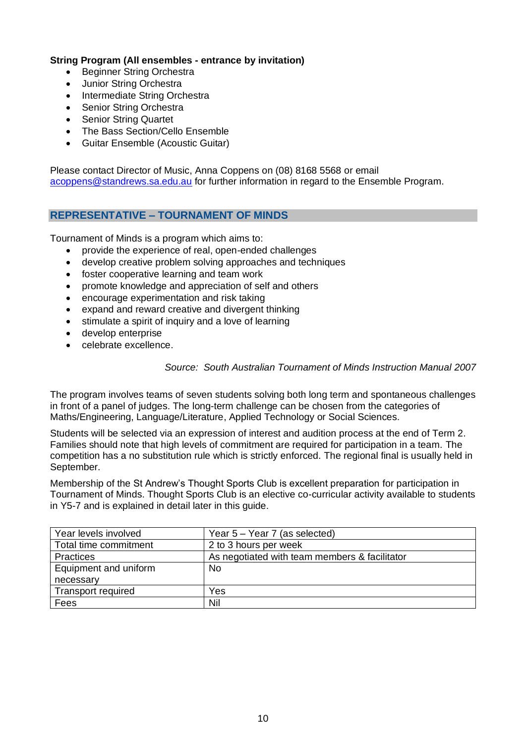### **String Program (All ensembles - entrance by invitation)**

- Beginner String Orchestra
- Junior String Orchestra
- Intermediate String Orchestra
- Senior String Orchestra
- Senior String Quartet
- The Bass Section/Cello Ensemble
- Guitar Ensemble (Acoustic Guitar)

Please contact Director of Music, Anna Coppens on (08) 8168 5568 or email [acoppens@standrews.sa.edu.au](mailto:acoppens@standrews.sa.edu.au) for further information in regard to the Ensemble Program.

## **REPRESENTATIVE – TOURNAMENT OF MINDS**

Tournament of Minds is a program which aims to:

- provide the experience of real, open-ended challenges
- develop creative problem solving approaches and techniques
- foster cooperative learning and team work
- promote knowledge and appreciation of self and others
- encourage experimentation and risk taking
- expand and reward creative and divergent thinking
- stimulate a spirit of inquiry and a love of learning
- develop enterprise
- celebrate excellence.

#### *Source: South Australian Tournament of Minds Instruction Manual 2007*

The program involves teams of seven students solving both long term and spontaneous challenges in front of a panel of judges. The long-term challenge can be chosen from the categories of Maths/Engineering, Language/Literature, Applied Technology or Social Sciences.

Students will be selected via an expression of interest and audition process at the end of Term 2. Families should note that high levels of commitment are required for participation in a team. The competition has a no substitution rule which is strictly enforced. The regional final is usually held in September.

Membership of the St Andrew's Thought Sports Club is excellent preparation for participation in Tournament of Minds. Thought Sports Club is an elective co-curricular activity available to students in Y5-7 and is explained in detail later in this guide.

| Year levels involved      | Year $5 -$ Year 7 (as selected)               |
|---------------------------|-----------------------------------------------|
| Total time commitment     | 2 to 3 hours per week                         |
| <b>Practices</b>          | As negotiated with team members & facilitator |
| Equipment and uniform     | <b>No</b>                                     |
| necessary                 |                                               |
| <b>Transport required</b> | Yes                                           |
| Fees                      | Nil                                           |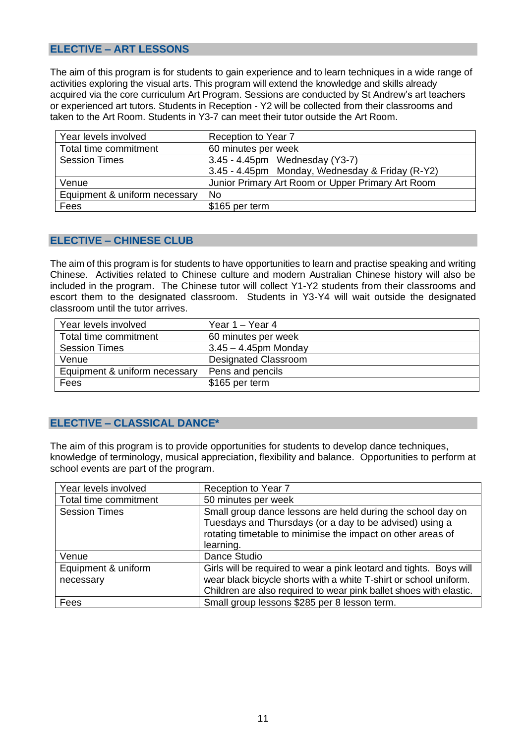# **ELECTIVE – ART LESSONS**

The aim of this program is for students to gain experience and to learn techniques in a wide range of activities exploring the visual arts. This program will extend the knowledge and skills already acquired via the core curriculum Art Program. Sessions are conducted by St Andrew's art teachers or experienced art tutors. Students in Reception - Y2 will be collected from their classrooms and taken to the Art Room. Students in Y3-7 can meet their tutor outside the Art Room.

| Year levels involved          | Reception to Year 7                               |  |  |  |
|-------------------------------|---------------------------------------------------|--|--|--|
| Total time commitment         | 60 minutes per week                               |  |  |  |
| <b>Session Times</b>          | 3.45 - 4.45pm Wednesday (Y3-7)                    |  |  |  |
|                               | 3.45 - 4.45pm Monday, Wednesday & Friday (R-Y2)   |  |  |  |
| Venue                         | Junior Primary Art Room or Upper Primary Art Room |  |  |  |
| Equipment & uniform necessary | <b>No</b>                                         |  |  |  |
| Fees                          | \$165 per term                                    |  |  |  |

#### **ELECTIVE – CHINESE CLUB**

The aim of this program is for students to have opportunities to learn and practise speaking and writing Chinese. Activities related to Chinese culture and modern Australian Chinese history will also be included in the program. The Chinese tutor will collect Y1-Y2 students from their classrooms and escort them to the designated classroom. Students in Y3-Y4 will wait outside the designated classroom until the tutor arrives.

| Year levels involved          | Year 1 – Year 4             |
|-------------------------------|-----------------------------|
| Total time commitment         | 60 minutes per week         |
| <b>Session Times</b>          | $3.45 - 4.45$ pm Monday     |
| Venue                         | <b>Designated Classroom</b> |
| Equipment & uniform necessary | Pens and pencils            |
| Fees                          | \$165 per term              |

#### **ELECTIVE – CLASSICAL DANCE\***

The aim of this program is to provide opportunities for students to develop dance techniques, knowledge of terminology, musical appreciation, flexibility and balance. Opportunities to perform at school events are part of the program.

| Year levels involved             | Reception to Year 7                                                                                                                                                                                            |
|----------------------------------|----------------------------------------------------------------------------------------------------------------------------------------------------------------------------------------------------------------|
| Total time commitment            | 50 minutes per week                                                                                                                                                                                            |
| <b>Session Times</b>             | Small group dance lessons are held during the school day on<br>Tuesdays and Thursdays (or a day to be advised) using a<br>rotating timetable to minimise the impact on other areas of<br>learning.             |
| Venue                            | Dance Studio                                                                                                                                                                                                   |
| Equipment & uniform<br>necessary | Girls will be required to wear a pink leotard and tights. Boys will<br>wear black bicycle shorts with a white T-shirt or school uniform.<br>Children are also required to wear pink ballet shoes with elastic. |
| Fees                             | Small group lessons \$285 per 8 lesson term.                                                                                                                                                                   |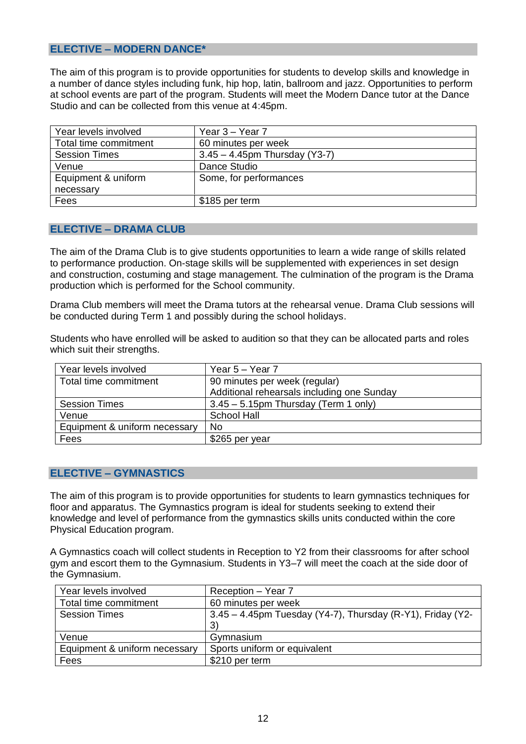# **ELECTIVE – MODERN DANCE\***

The aim of this program is to provide opportunities for students to develop skills and knowledge in a number of dance styles including funk, hip hop, latin, ballroom and jazz. Opportunities to perform at school events are part of the program. Students will meet the Modern Dance tutor at the Dance Studio and can be collected from this venue at 4:45pm.

| Year levels involved  | Year 3 – Year 7                  |
|-----------------------|----------------------------------|
| Total time commitment | 60 minutes per week              |
| <b>Session Times</b>  | $3.45 - 4.45$ pm Thursday (Y3-7) |
| Venue                 | Dance Studio                     |
| Equipment & uniform   | Some, for performances           |
| necessary             |                                  |
| Fees                  | \$185 per term                   |

#### **ELECTIVE – DRAMA CLUB**

The aim of the Drama Club is to give students opportunities to learn a wide range of skills related to performance production. On-stage skills will be supplemented with experiences in set design and construction, costuming and stage management. The culmination of the program is the Drama production which is performed for the School community.

Drama Club members will meet the Drama tutors at the rehearsal venue. Drama Club sessions will be conducted during Term 1 and possibly during the school holidays.

Students who have enrolled will be asked to audition so that they can be allocated parts and roles which suit their strengths.

| Year levels involved          | Year $5 -$ Year 7                          |
|-------------------------------|--------------------------------------------|
| Total time commitment         | 90 minutes per week (regular)              |
|                               | Additional rehearsals including one Sunday |
| <b>Session Times</b>          | $3.45 - 5.15$ pm Thursday (Term 1 only)    |
| Venue                         | <b>School Hall</b>                         |
| Equipment & uniform necessary | No                                         |
| Fees                          | \$265 per year                             |

#### **ELECTIVE – GYMNASTICS**

The aim of this program is to provide opportunities for students to learn gymnastics techniques for floor and apparatus. The Gymnastics program is ideal for students seeking to extend their knowledge and level of performance from the gymnastics skills units conducted within the core Physical Education program.

A Gymnastics coach will collect students in Reception to Y2 from their classrooms for after school gym and escort them to the Gymnasium. Students in Y3–7 will meet the coach at the side door of the Gymnasium.

| Year levels involved          | Reception - Year 7                                            |
|-------------------------------|---------------------------------------------------------------|
| Total time commitment         | 60 minutes per week                                           |
| <b>Session Times</b>          | $3.45 - 4.45$ pm Tuesday (Y4-7), Thursday (R-Y1), Friday (Y2- |
|                               | 3)                                                            |
| Venue                         | Gymnasium                                                     |
| Equipment & uniform necessary | Sports uniform or equivalent                                  |
| Fees                          | \$210 per term                                                |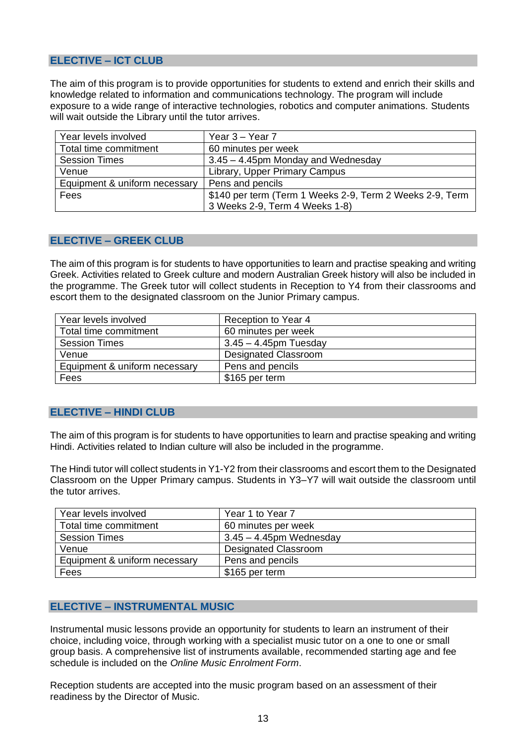# **ELECTIVE – ICT CLUB**

The aim of this program is to provide opportunities for students to extend and enrich their skills and knowledge related to information and communications technology. The program will include exposure to a wide range of interactive technologies, robotics and computer animations. Students will wait outside the Library until the tutor arrives.

| Year levels involved          | Year $3 -$ Year $7$                                      |
|-------------------------------|----------------------------------------------------------|
| Total time commitment         | 60 minutes per week                                      |
| <b>Session Times</b>          | 3.45 - 4.45pm Monday and Wednesday                       |
| Venue                         | Library, Upper Primary Campus                            |
| Equipment & uniform necessary | Pens and pencils                                         |
| Fees                          | \$140 per term (Term 1 Weeks 2-9, Term 2 Weeks 2-9, Term |
|                               | 3 Weeks 2-9, Term 4 Weeks 1-8)                           |

#### **ELECTIVE – GREEK CLUB**

The aim of this program is for students to have opportunities to learn and practise speaking and writing Greek. Activities related to Greek culture and modern Australian Greek history will also be included in the programme. The Greek tutor will collect students in Reception to Y4 from their classrooms and escort them to the designated classroom on the Junior Primary campus.

| Year levels involved          | Reception to Year 4         |
|-------------------------------|-----------------------------|
| Total time commitment         | 60 minutes per week         |
| <b>Session Times</b>          | $3.45 - 4.45$ pm Tuesday    |
| Venue                         | <b>Designated Classroom</b> |
| Equipment & uniform necessary | Pens and pencils            |
| Fees                          | \$165 per term              |

# **ELECTIVE – HINDI CLUB**

The aim of this program is for students to have opportunities to learn and practise speaking and writing Hindi. Activities related to Indian culture will also be included in the programme.

The Hindi tutor will collect students in Y1-Y2 from their classrooms and escort them to the Designated Classroom on the Upper Primary campus. Students in Y3–Y7 will wait outside the classroom until the tutor arrives.

| Year levels involved          | Year 1 to Year 7            |
|-------------------------------|-----------------------------|
| Total time commitment         | 60 minutes per week         |
| <b>Session Times</b>          | $3.45 - 4.45$ pm Wednesday  |
| Venue                         | <b>Designated Classroom</b> |
| Equipment & uniform necessary | Pens and pencils            |
| Fees                          | \$165 per term              |

# **ELECTIVE – INSTRUMENTAL MUSIC**

Instrumental music lessons provide an opportunity for students to learn an instrument of their choice, including voice, through working with a specialist music tutor on a one to one or small group basis. A comprehensive list of instruments available, recommended starting age and fee schedule is included on the *Online Music Enrolment Form*.

Reception students are accepted into the music program based on an assessment of their readiness by the Director of Music.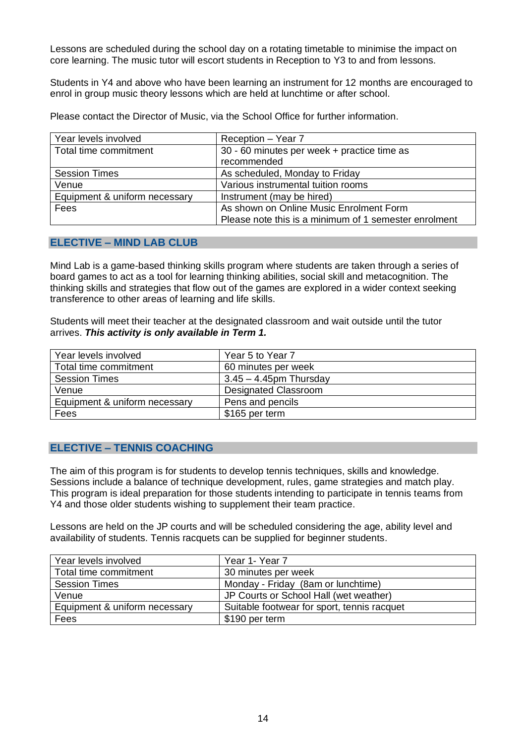Lessons are scheduled during the school day on a rotating timetable to minimise the impact on core learning. The music tutor will escort students in Reception to Y3 to and from lessons.

Students in Y4 and above who have been learning an instrument for 12 months are encouraged to enrol in group music theory lessons which are held at lunchtime or after school.

Please contact the Director of Music, via the School Office for further information.

| Year levels involved          | Reception - Year 7                                    |
|-------------------------------|-------------------------------------------------------|
| Total time commitment         | 30 - 60 minutes per week + practice time as           |
|                               | recommended                                           |
| <b>Session Times</b>          | As scheduled, Monday to Friday                        |
| Venue                         | Various instrumental tuition rooms                    |
| Equipment & uniform necessary | Instrument (may be hired)                             |
| Fees                          | As shown on Online Music Enrolment Form               |
|                               | Please note this is a minimum of 1 semester enrolment |

## **ELECTIVE – MIND LAB CLUB**

Mind Lab is a game-based thinking skills program where students are taken through a series of board games to act as a tool for learning thinking abilities, social skill and metacognition. The thinking skills and strategies that flow out of the games are explored in a wider context seeking transference to other areas of learning and life skills.

Students will meet their teacher at the designated classroom and wait outside until the tutor arrives. *This activity is only available in Term 1.*

| Year levels involved          | Year 5 to Year 7            |
|-------------------------------|-----------------------------|
| Total time commitment         | 60 minutes per week         |
| <b>Session Times</b>          | $3.45 - 4.45$ pm Thursday   |
| Venue                         | <b>Designated Classroom</b> |
| Equipment & uniform necessary | Pens and pencils            |
| Fees                          | \$165 per term              |

# **ELECTIVE – TENNIS COACHING**

The aim of this program is for students to develop tennis techniques, skills and knowledge. Sessions include a balance of technique development, rules, game strategies and match play. This program is ideal preparation for those students intending to participate in tennis teams from Y4 and those older students wishing to supplement their team practice.

Lessons are held on the JP courts and will be scheduled considering the age, ability level and availability of students. Tennis racquets can be supplied for beginner students.

| Year levels involved          | Year 1- Year 7                              |
|-------------------------------|---------------------------------------------|
| Total time commitment         | 30 minutes per week                         |
| <b>Session Times</b>          | Monday - Friday (8am or lunchtime)          |
| Venue                         | JP Courts or School Hall (wet weather)      |
| Equipment & uniform necessary | Suitable footwear for sport, tennis racquet |
| Fees                          | \$190 per term                              |